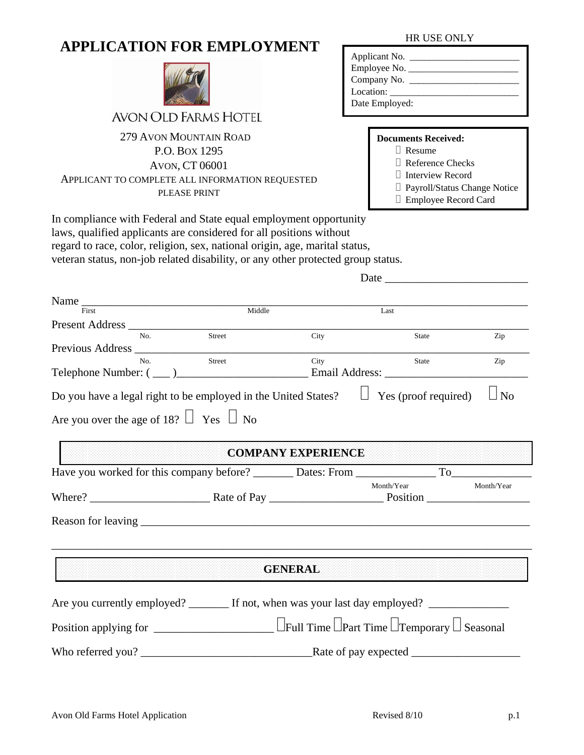# **APPLICATION FOR EMPLOYMENT** HR USE ONLY



# AVON OLD FARMS HOTEL

## 279 AVON MOUNTAIN ROAD P.O. BOX 1295 AVON, CT 06001 APPLICANT TO COMPLETE ALL INFORMATION REQUESTED PLEASE PRINT

| Applicant No.             |              |
|---------------------------|--------------|
|                           | Employee No. |
|                           |              |
| Location: $\qquad \qquad$ |              |
| Date Employed:            |              |

#### **Documents Received:**

Resume

Reference Checks

Interview Record

Payroll/Status Change Notice

Employee Record Card

In compliance with Federal and State equal employment opportunity laws, qualified applicants are considered for all positions without regard to race, color, religion, sex, national origin, age, marital status, veteran status, non-job related disability, or any other protected group status.

Date  $\Box$ 

| $\overline{First}$                                                                                                 | Middle |                           |                                                                    |            |
|--------------------------------------------------------------------------------------------------------------------|--------|---------------------------|--------------------------------------------------------------------|------------|
|                                                                                                                    |        |                           | Last                                                               |            |
| No                                                                                                                 | Street | City                      | State                                                              | Zip        |
|                                                                                                                    |        |                           |                                                                    |            |
| No.                                                                                                                | Street | City                      | State                                                              | Zip        |
|                                                                                                                    |        |                           |                                                                    |            |
| Do you have a legal right to be employed in the United States?<br>Are you over the age of 18? $\Box$ Yes $\Box$ No |        |                           | Yes (proof required)<br>$\Box$                                     | $\Box$ No  |
|                                                                                                                    |        | <b>COMPANY EXPERIENCE</b> |                                                                    |            |
|                                                                                                                    |        |                           |                                                                    |            |
|                                                                                                                    |        |                           | Month/Year                                                         | Month/Year |
|                                                                                                                    |        |                           |                                                                    |            |
|                                                                                                                    |        | <b>GENERAL</b>            |                                                                    |            |
| Are you currently employed? _________ If not, when was your last day employed? ____________________                |        |                           |                                                                    |            |
|                                                                                                                    |        |                           | $\Box$ Full Time $\Box$ Part Time $\Box$ Temporary $\Box$ Seasonal |            |

Who referred you? \_\_\_\_\_\_\_\_\_\_\_\_\_\_\_\_\_\_\_\_\_\_\_\_\_\_\_\_\_\_Rate of pay expected \_\_\_\_\_\_\_\_\_\_\_\_\_\_\_\_\_\_\_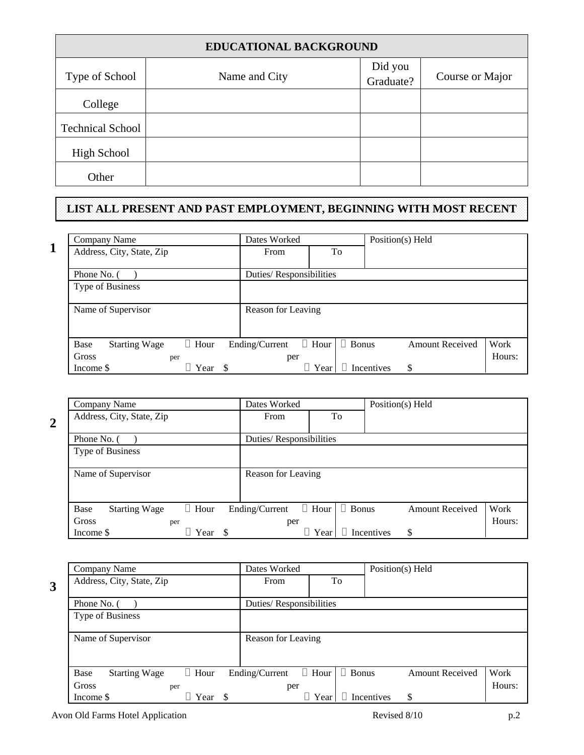| <b>EDUCATIONAL BACKGROUND</b> |               |                      |                 |  |  |
|-------------------------------|---------------|----------------------|-----------------|--|--|
| Type of School                | Name and City | Did you<br>Graduate? | Course or Major |  |  |
| College                       |               |                      |                 |  |  |
| <b>Technical School</b>       |               |                      |                 |  |  |
| <b>High School</b>            |               |                      |                 |  |  |
| Other                         |               |                      |                 |  |  |

# **LIST ALL PRESENT AND PAST EMPLOYMENT, BEGINNING WITH MOST RECENT**

|   | Company Name                 |             |      | Dates Worked            |              |              | Position(s) Held  |                        |        |
|---|------------------------------|-------------|------|-------------------------|--------------|--------------|-------------------|------------------------|--------|
| 1 | Address, City, State, Zip    |             |      | From                    |              | To           |                   |                        |        |
|   | Phone No. (                  |             |      | Duties/Responsibilities |              |              |                   |                        |        |
|   | Type of Business             |             |      |                         |              |              |                   |                        |        |
|   | Name of Supervisor           |             |      | Reason for Leaving      |              |              |                   |                        |        |
|   | Base<br><b>Starting Wage</b> | $\Box$ Hour |      | Ending/Current          | $\Box$ Hour  | $\Box$ Bonus |                   | <b>Amount Received</b> | Work   |
|   | Gross                        | per         |      | per                     |              |              |                   |                        | Hours: |
|   | Income \$                    | ⊥ Year      | - \$ |                         | $\perp$ Year |              | $\Box$ Incentives | \$                     |        |

| Company Name                                | Dates Worked            |                             | Position(s) Held       |        |
|---------------------------------------------|-------------------------|-----------------------------|------------------------|--------|
| Address, City, State, Zip                   | From                    | To                          |                        |        |
|                                             |                         |                             |                        |        |
| Phone No.                                   | Duties/Responsibilities |                             |                        |        |
| Type of Business                            |                         |                             |                        |        |
|                                             |                         |                             |                        |        |
| Name of Supervisor                          | Reason for Leaving      |                             |                        |        |
|                                             |                         |                             |                        |        |
|                                             |                         |                             |                        |        |
| $\Box$ Hour<br>Base<br><b>Starting Wage</b> | Ending/Current          | $\Box$ Hour<br>$\Box$ Bonus | <b>Amount Received</b> | Work   |
| Gross<br>per                                | per                     |                             |                        | Hours: |
| Year<br>Income \$                           |                         | ⊔ Year                      | \$<br>Incentives       |        |

| Company Name                                | Dates Worked            |                             | Position(s) Held       |        |
|---------------------------------------------|-------------------------|-----------------------------|------------------------|--------|
| Address, City, State, Zip                   | From                    | To                          |                        |        |
|                                             |                         |                             |                        |        |
| Phone No.                                   | Duties/Responsibilities |                             |                        |        |
| Type of Business                            |                         |                             |                        |        |
|                                             |                         |                             |                        |        |
| Name of Supervisor                          | Reason for Leaving      |                             |                        |        |
|                                             |                         |                             |                        |        |
|                                             |                         |                             |                        |        |
| $\Box$ Hour<br>Base<br><b>Starting Wage</b> | Ending/Current          | $\Box$ Hour<br>$\Box$ Bonus | <b>Amount Received</b> | Work   |
| Gross<br>per                                | per                     |                             |                        | Hours: |
| Year<br>Income \$<br>-S                     |                         | Year                        | \$<br>Incentives       |        |

Avon Old Farms Hotel Application p.2

**3** 

**2**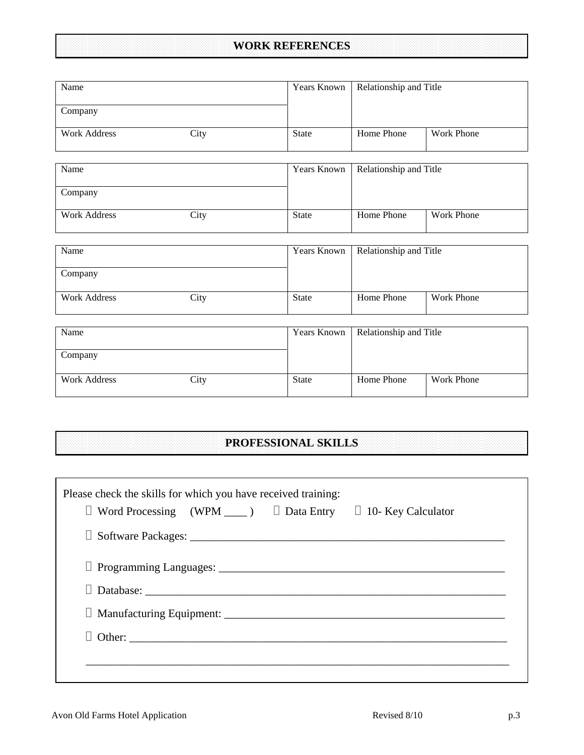# **WORK REFERENCES**

| Name                |      | Years Known        | Relationship and Title |            |
|---------------------|------|--------------------|------------------------|------------|
| Company             |      |                    |                        |            |
| <b>Work Address</b> | City | <b>State</b>       | Home Phone             | Work Phone |
| Name                |      | Years Known        | Relationship and Title |            |
| Company             |      |                    |                        |            |
| <b>Work Address</b> | City | <b>State</b>       | Home Phone             | Work Phone |
| Name                |      | Years Known        | Relationship and Title |            |
| Company             |      |                    |                        |            |
| <b>Work Address</b> | City | <b>State</b>       | Home Phone             | Work Phone |
|                     |      |                    |                        |            |
| Name                |      | <b>Years Known</b> | Relationship and Title |            |
| Company             |      |                    |                        |            |
| <b>Work Address</b> | City | <b>State</b>       | Home Phone             | Work Phone |

# **PROFESSIONAL SKILLS**

| Please check the skills for which you have received training:<br>$\Box$ Word Processing (WPM _____) $\Box$ Data Entry $\Box$ 10- Key Calculator |  |
|-------------------------------------------------------------------------------------------------------------------------------------------------|--|
|                                                                                                                                                 |  |
|                                                                                                                                                 |  |
| $\Box$ Database: $\Box$                                                                                                                         |  |
|                                                                                                                                                 |  |
|                                                                                                                                                 |  |
|                                                                                                                                                 |  |
|                                                                                                                                                 |  |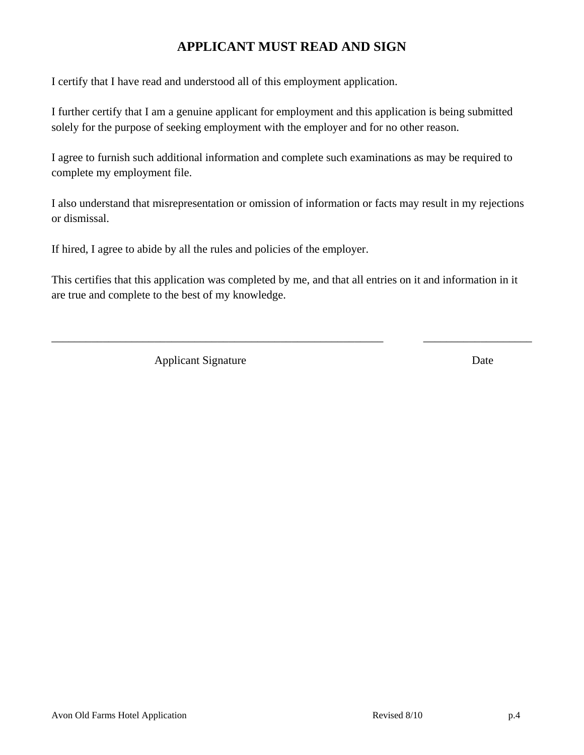# **APPLICANT MUST READ AND SIGN**

I certify that I have read and understood all of this employment application.

I further certify that I am a genuine applicant for employment and this application is being submitted solely for the purpose of seeking employment with the employer and for no other reason.

I agree to furnish such additional information and complete such examinations as may be required to complete my employment file.

I also understand that misrepresentation or omission of information or facts may result in my rejections or dismissal.

If hired, I agree to abide by all the rules and policies of the employer.

This certifies that this application was completed by me, and that all entries on it and information in it are true and complete to the best of my knowledge.

\_\_\_\_\_\_\_\_\_\_\_\_\_\_\_\_\_\_\_\_\_\_\_\_\_\_\_\_\_\_\_\_\_\_\_\_\_\_\_\_\_\_\_\_\_\_\_\_\_\_\_\_\_\_\_\_\_\_ \_\_\_\_\_\_\_\_\_\_\_\_\_\_\_\_\_\_\_

Applicant Signature Date